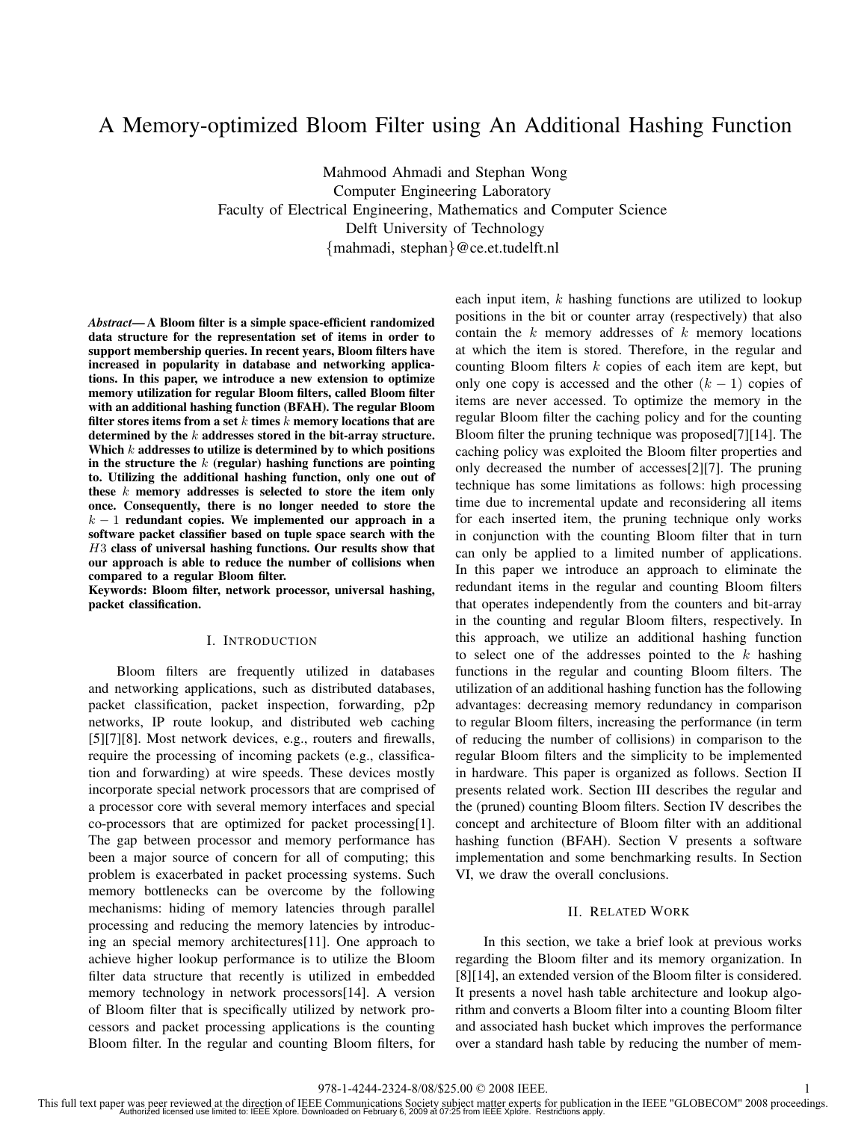# A Memory-optimized Bloom Filter using An Additional Hashing Function

Mahmood Ahmadi and Stephan Wong Computer Engineering Laboratory Faculty of Electrical Engineering, Mathematics and Computer Science Delft University of Technology {mahmadi, stephan}@ce.et.tudelft.nl

*Abstract***— A Bloom filter is a simple space-efficient randomized data structure for the representation set of items in order to support membership queries. In recent years, Bloom filters have increased in popularity in database and networking applications. In this paper, we introduce a new extension to optimize memory utilization for regular Bloom filters, called Bloom filter with an additional hashing function (BFAH). The regular Bloom filter stores items from a set** k **times** k **memory locations that are determined by the** k **addresses stored in the bit-array structure. Which** k **addresses to utilize is determined by to which positions in the structure the** k **(regular) hashing functions are pointing to. Utilizing the additional hashing function, only one out of these** k **memory addresses is selected to store the item only once. Consequently, there is no longer needed to store the** k − 1 **redundant copies. We implemented our approach in a software packet classifier based on tuple space search with the** H3 **class of universal hashing functions. Our results show that our approach is able to reduce the number of collisions when compared to a regular Bloom filter.**

**Keywords: Bloom filter, network processor, universal hashing, packet classification.**

#### I. INTRODUCTION

Bloom filters are frequently utilized in databases and networking applications, such as distributed databases, packet classification, packet inspection, forwarding, p2p networks, IP route lookup, and distributed web caching [5][7][8]. Most network devices, e.g., routers and firewalls, require the processing of incoming packets (e.g., classification and forwarding) at wire speeds. These devices mostly incorporate special network processors that are comprised of a processor core with several memory interfaces and special co-processors that are optimized for packet processing[1]. The gap between processor and memory performance has been a major source of concern for all of computing; this problem is exacerbated in packet processing systems. Such memory bottlenecks can be overcome by the following mechanisms: hiding of memory latencies through parallel processing and reducing the memory latencies by introducing an special memory architectures[11]. One approach to achieve higher lookup performance is to utilize the Bloom filter data structure that recently is utilized in embedded memory technology in network processors[14]. A version of Bloom filter that is specifically utilized by network processors and packet processing applications is the counting Bloom filter. In the regular and counting Bloom filters, for

each input item,  $k$  hashing functions are utilized to lookup positions in the bit or counter array (respectively) that also contain the  $k$  memory addresses of  $k$  memory locations at which the item is stored. Therefore, in the regular and counting Bloom filters  $k$  copies of each item are kept, but only one copy is accessed and the other  $(k - 1)$  copies of items are never accessed. To optimize the memory in the regular Bloom filter the caching policy and for the counting Bloom filter the pruning technique was proposed[7][14]. The caching policy was exploited the Bloom filter properties and only decreased the number of accesses[2][7]. The pruning technique has some limitations as follows: high processing time due to incremental update and reconsidering all items for each inserted item, the pruning technique only works in conjunction with the counting Bloom filter that in turn can only be applied to a limited number of applications. In this paper we introduce an approach to eliminate the redundant items in the regular and counting Bloom filters that operates independently from the counters and bit-array in the counting and regular Bloom filters, respectively. In this approach, we utilize an additional hashing function to select one of the addresses pointed to the  $k$  hashing functions in the regular and counting Bloom filters. The utilization of an additional hashing function has the following advantages: decreasing memory redundancy in comparison to regular Bloom filters, increasing the performance (in term of reducing the number of collisions) in comparison to the regular Bloom filters and the simplicity to be implemented in hardware. This paper is organized as follows. Section II presents related work. Section III describes the regular and the (pruned) counting Bloom filters. Section IV describes the concept and architecture of Bloom filter with an additional hashing function (BFAH). Section V presents a software implementation and some benchmarking results. In Section VI, we draw the overall conclusions.

# II. RELATED WORK

In this section, we take a brief look at previous works regarding the Bloom filter and its memory organization. In [8][14], an extended version of the Bloom filter is considered. It presents a novel hash table architecture and lookup algorithm and converts a Bloom filter into a counting Bloom filter and associated hash bucket which improves the performance over a standard hash table by reducing the number of mem-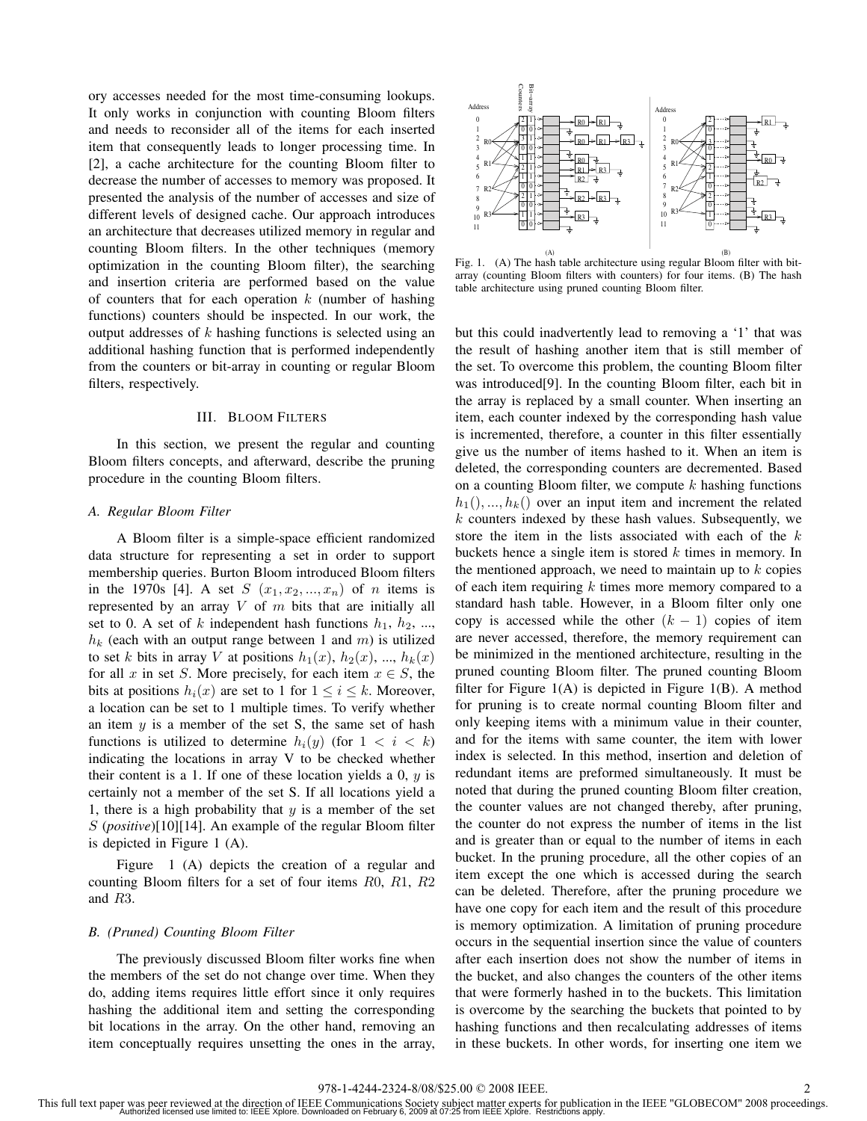ory accesses needed for the most time-consuming lookups. It only works in conjunction with counting Bloom filters and needs to reconsider all of the items for each inserted item that consequently leads to longer processing time. In [2], a cache architecture for the counting Bloom filter to decrease the number of accesses to memory was proposed. It presented the analysis of the number of accesses and size of different levels of designed cache. Our approach introduces an architecture that decreases utilized memory in regular and counting Bloom filters. In the other techniques (memory optimization in the counting Bloom filter), the searching and insertion criteria are performed based on the value of counters that for each operation  $k$  (number of hashing functions) counters should be inspected. In our work, the output addresses of  $k$  hashing functions is selected using an additional hashing function that is performed independently from the counters or bit-array in counting or regular Bloom filters, respectively.

#### III. BLOOM FILTERS

In this section, we present the regular and counting Bloom filters concepts, and afterward, describe the pruning procedure in the counting Bloom filters.

# *A. Regular Bloom Filter*

A Bloom filter is a simple-space efficient randomized data structure for representing a set in order to support membership queries. Burton Bloom introduced Bloom filters in the 1970s [4]. A set  $S(x_1, x_2, ..., x_n)$  of *n* items is represented by an array  $V$  of  $m$  bits that are initially all set to 0. A set of k independent hash functions  $h_1$ ,  $h_2$ , ...,  $h_k$  (each with an output range between 1 and m) is utilized to set k bits in array V at positions  $h_1(x)$ ,  $h_2(x)$ , ...,  $h_k(x)$ for all x in set S. More precisely, for each item  $x \in S$ , the bits at positions  $h_i(x)$  are set to 1 for  $1 \le i \le k$ . Moreover, a location can be set to 1 multiple times. To verify whether an item  $y$  is a member of the set S, the same set of hash functions is utilized to determine  $h_i(y)$  (for  $1 \lt i \lt k$ ) indicating the locations in array V to be checked whether their content is a 1. If one of these location yields a 0,  $y$  is certainly not a member of the set S. If all locations yield a 1, there is a high probability that  $y$  is a member of the set S (*positive*)[10][14]. An example of the regular Bloom filter is depicted in Figure 1 (A).

Figure 1 (A) depicts the creation of a regular and counting Bloom filters for a set of four items R0, R1, R2 and R3.

# *B. (Pruned) Counting Bloom Filter*

The previously discussed Bloom filter works fine when the members of the set do not change over time. When they do, adding items requires little effort since it only requires hashing the additional item and setting the corresponding bit locations in the array. On the other hand, removing an item conceptually requires unsetting the ones in the array,



Fig. 1. (A) The hash table architecture using regular Bloom filter with bitarray (counting Bloom filters with counters) for four items. (B) The hash table architecture using pruned counting Bloom filter.

but this could inadvertently lead to removing a '1' that was the result of hashing another item that is still member of the set. To overcome this problem, the counting Bloom filter was introduced[9]. In the counting Bloom filter, each bit in the array is replaced by a small counter. When inserting an item, each counter indexed by the corresponding hash value is incremented, therefore, a counter in this filter essentially give us the number of items hashed to it. When an item is deleted, the corresponding counters are decremented. Based on a counting Bloom filter, we compute  $k$  hashing functions  $h_1(),..., h_k()$  over an input item and increment the related  $k$  counters indexed by these hash values. Subsequently, we store the item in the lists associated with each of the  $k$ buckets hence a single item is stored  $k$  times in memory. In the mentioned approach, we need to maintain up to  $k$  copies of each item requiring  $k$  times more memory compared to a standard hash table. However, in a Bloom filter only one copy is accessed while the other  $(k - 1)$  copies of item are never accessed, therefore, the memory requirement can be minimized in the mentioned architecture, resulting in the pruned counting Bloom filter. The pruned counting Bloom filter for Figure  $1(A)$  is depicted in Figure  $1(B)$ . A method for pruning is to create normal counting Bloom filter and only keeping items with a minimum value in their counter, and for the items with same counter, the item with lower index is selected. In this method, insertion and deletion of redundant items are preformed simultaneously. It must be noted that during the pruned counting Bloom filter creation, the counter values are not changed thereby, after pruning, the counter do not express the number of items in the list and is greater than or equal to the number of items in each bucket. In the pruning procedure, all the other copies of an item except the one which is accessed during the search can be deleted. Therefore, after the pruning procedure we have one copy for each item and the result of this procedure is memory optimization. A limitation of pruning procedure occurs in the sequential insertion since the value of counters after each insertion does not show the number of items in the bucket, and also changes the counters of the other items that were formerly hashed in to the buckets. This limitation is overcome by the searching the buckets that pointed to by hashing functions and then recalculating addresses of items in these buckets. In other words, for inserting one item we

This full text paper was peer reviewed at the direction of IEEE Communications Society subject matter experts for publication in the IEEE "GLOBECOM" 2008 proceedings.<br>Authorized licensed use limited to: IEEE Xplore. Downlo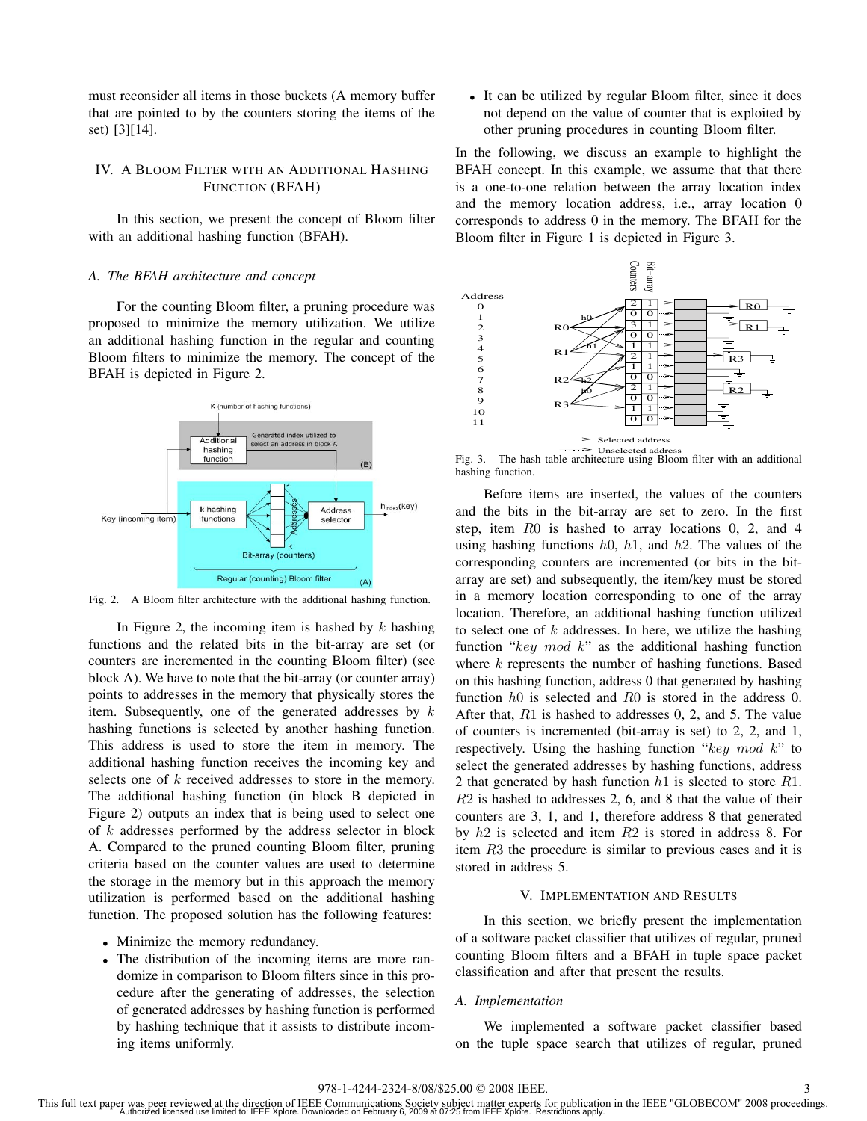must reconsider all items in those buckets (A memory buffer that are pointed to by the counters storing the items of the set) [3][14].

# IV. A BLOOM FILTER WITH AN ADDITIONAL HASHING FUNCTION (BFAH)

In this section, we present the concept of Bloom filter with an additional hashing function (BFAH).

### *A. The BFAH architecture and concept*

For the counting Bloom filter, a pruning procedure was proposed to minimize the memory utilization. We utilize an additional hashing function in the regular and counting Bloom filters to minimize the memory. The concept of the BFAH is depicted in Figure 2.



Fig. 2. A Bloom filter architecture with the additional hashing function.

In Figure 2, the incoming item is hashed by  $k$  hashing functions and the related bits in the bit-array are set (or counters are incremented in the counting Bloom filter) (see block A). We have to note that the bit-array (or counter array) points to addresses in the memory that physically stores the item. Subsequently, one of the generated addresses by  $k$ hashing functions is selected by another hashing function. This address is used to store the item in memory. The additional hashing function receives the incoming key and selects one of k received addresses to store in the memory. The additional hashing function (in block B depicted in Figure 2) outputs an index that is being used to select one of  $k$  addresses performed by the address selector in block A. Compared to the pruned counting Bloom filter, pruning criteria based on the counter values are used to determine the storage in the memory but in this approach the memory utilization is performed based on the additional hashing function. The proposed solution has the following features:

- Minimize the memory redundancy.
- The distribution of the incoming items are more randomize in comparison to Bloom filters since in this procedure after the generating of addresses, the selection of generated addresses by hashing function is performed by hashing technique that it assists to distribute incoming items uniformly.

• It can be utilized by regular Bloom filter, since it does not depend on the value of counter that is exploited by other pruning procedures in counting Bloom filter.

In the following, we discuss an example to highlight the BFAH concept. In this example, we assume that that there is a one-to-one relation between the array location index and the memory location address, i.e., array location 0 corresponds to address 0 in the memory. The BFAH for the Bloom filter in Figure 1 is depicted in Figure 3.



Fig. 3. The hash table architecture using Bloom filter with an additional hashing function.

Before items are inserted, the values of the counters and the bits in the bit-array are set to zero. In the first step, item R0 is hashed to array locations 0, 2, and 4 using hashing functions  $h0$ ,  $h1$ , and  $h2$ . The values of the corresponding counters are incremented (or bits in the bitarray are set) and subsequently, the item/key must be stored in a memory location corresponding to one of the array location. Therefore, an additional hashing function utilized to select one of  $k$  addresses. In here, we utilize the hashing function " $key \mod k$ " as the additional hashing function where  $k$  represents the number of hashing functions. Based on this hashing function, address 0 that generated by hashing function  $h0$  is selected and  $R0$  is stored in the address 0. After that,  $R1$  is hashed to addresses 0, 2, and 5. The value of counters is incremented (bit-array is set) to 2, 2, and 1, respectively. Using the hashing function " $key \mod k$ " to select the generated addresses by hashing functions, address 2 that generated by hash function  $h1$  is sleeted to store  $R1$ . R2 is hashed to addresses 2, 6, and 8 that the value of their counters are 3, 1, and 1, therefore address 8 that generated by h2 is selected and item R2 is stored in address 8. For item R3 the procedure is similar to previous cases and it is stored in address 5.

### V. IMPLEMENTATION AND RESULTS

In this section, we briefly present the implementation of a software packet classifier that utilizes of regular, pruned counting Bloom filters and a BFAH in tuple space packet classification and after that present the results.

### *A. Implementation*

We implemented a software packet classifier based on the tuple space search that utilizes of regular, pruned

This full text paper was peer reviewed at the direction of IEEE Communications Society subject matter experts for publication in the IEEE "GLOBECOM" 2008 proceedings.<br>Authorized licensed use limited to: IEEE Xplore. Downlo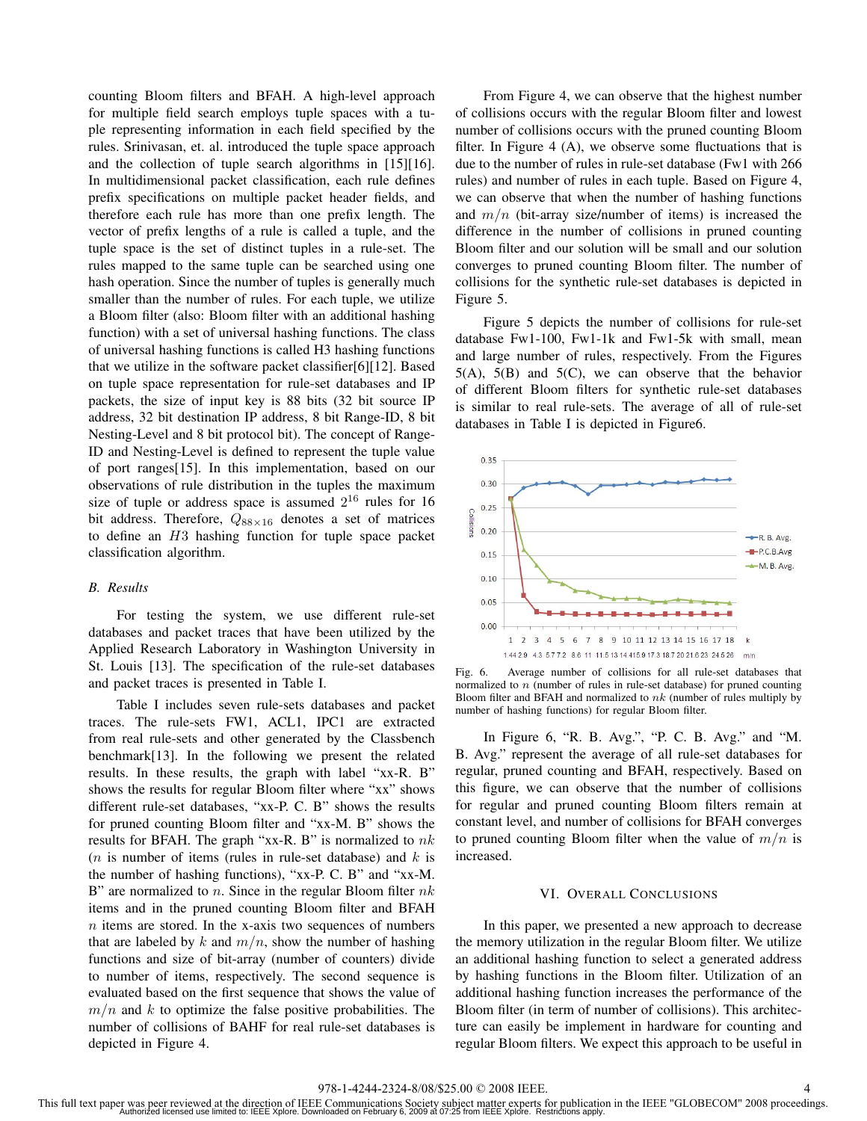counting Bloom filters and BFAH. A high-level approach for multiple field search employs tuple spaces with a tuple representing information in each field specified by the rules. Srinivasan, et. al. introduced the tuple space approach and the collection of tuple search algorithms in [15][16]. In multidimensional packet classification, each rule defines prefix specifications on multiple packet header fields, and therefore each rule has more than one prefix length. The vector of prefix lengths of a rule is called a tuple, and the tuple space is the set of distinct tuples in a rule-set. The rules mapped to the same tuple can be searched using one hash operation. Since the number of tuples is generally much smaller than the number of rules. For each tuple, we utilize a Bloom filter (also: Bloom filter with an additional hashing function) with a set of universal hashing functions. The class of universal hashing functions is called H3 hashing functions that we utilize in the software packet classifier[6][12]. Based on tuple space representation for rule-set databases and IP packets, the size of input key is 88 bits (32 bit source IP address, 32 bit destination IP address, 8 bit Range-ID, 8 bit Nesting-Level and 8 bit protocol bit). The concept of Range-ID and Nesting-Level is defined to represent the tuple value of port ranges[15]. In this implementation, based on our observations of rule distribution in the tuples the maximum size of tuple or address space is assumed  $2^{16}$  rules for 16 bit address. Therefore,  $Q_{88\times16}$  denotes a set of matrices to define an H3 hashing function for tuple space packet classification algorithm.

# *B. Results*

For testing the system, we use different rule-set databases and packet traces that have been utilized by the Applied Research Laboratory in Washington University in St. Louis [13]. The specification of the rule-set databases and packet traces is presented in Table I.

Table I includes seven rule-sets databases and packet traces. The rule-sets FW1, ACL1, IPC1 are extracted from real rule-sets and other generated by the Classbench benchmark[13]. In the following we present the related results. In these results, the graph with label "xx-R. B" shows the results for regular Bloom filter where "xx" shows different rule-set databases, "xx-P. C. B" shows the results for pruned counting Bloom filter and "xx-M. B" shows the results for BFAH. The graph "xx-R. B" is normalized to  $nk$ (*n* is number of items (rules in rule-set database) and  $k$  is the number of hashing functions), "xx-P. C. B" and "xx-M. B" are normalized to  $n$ . Since in the regular Bloom filter  $nk$ items and in the pruned counting Bloom filter and BFAH  $n$  items are stored. In the x-axis two sequences of numbers that are labeled by k and  $m/n$ , show the number of hashing functions and size of bit-array (number of counters) divide to number of items, respectively. The second sequence is evaluated based on the first sequence that shows the value of  $m/n$  and k to optimize the false positive probabilities. The number of collisions of BAHF for real rule-set databases is depicted in Figure 4.

From Figure 4, we can observe that the highest number of collisions occurs with the regular Bloom filter and lowest number of collisions occurs with the pruned counting Bloom filter. In Figure 4 (A), we observe some fluctuations that is due to the number of rules in rule-set database (Fw1 with 266 rules) and number of rules in each tuple. Based on Figure 4, we can observe that when the number of hashing functions and  $m/n$  (bit-array size/number of items) is increased the difference in the number of collisions in pruned counting Bloom filter and our solution will be small and our solution converges to pruned counting Bloom filter. The number of collisions for the synthetic rule-set databases is depicted in Figure 5.

Figure 5 depicts the number of collisions for rule-set database Fw1-100, Fw1-1k and Fw1-5k with small, mean and large number of rules, respectively. From the Figures 5(A), 5(B) and 5(C), we can observe that the behavior of different Bloom filters for synthetic rule-set databases is similar to real rule-sets. The average of all of rule-set databases in Table I is depicted in Figure6.



Fig. 6. Average number of collisions for all rule-set databases that normalized to  $n$  (number of rules in rule-set database) for pruned counting Bloom filter and BFAH and normalized to  $nk$  (number of rules multiply by number of hashing functions) for regular Bloom filter.

In Figure 6, "R. B. Avg.", "P. C. B. Avg." and "M. B. Avg." represent the average of all rule-set databases for regular, pruned counting and BFAH, respectively. Based on this figure, we can observe that the number of collisions for regular and pruned counting Bloom filters remain at constant level, and number of collisions for BFAH converges to pruned counting Bloom filter when the value of  $m/n$  is increased.

# VI. OVERALL CONCLUSIONS

In this paper, we presented a new approach to decrease the memory utilization in the regular Bloom filter. We utilize an additional hashing function to select a generated address by hashing functions in the Bloom filter. Utilization of an additional hashing function increases the performance of the Bloom filter (in term of number of collisions). This architecture can easily be implement in hardware for counting and regular Bloom filters. We expect this approach to be useful in